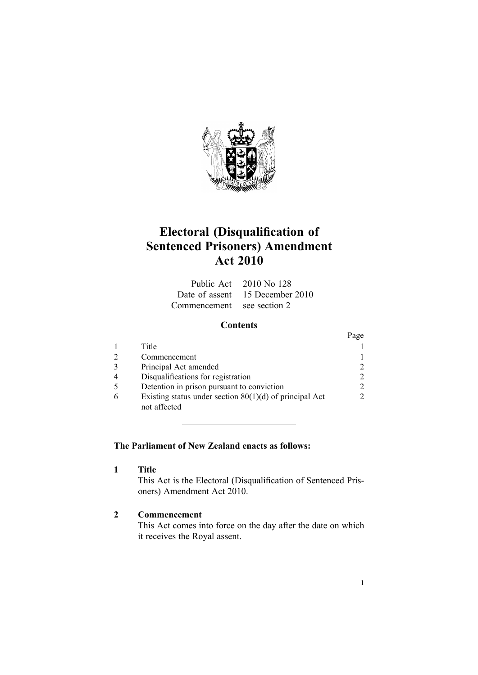

# **Electoral (Disqualification of Sentenced Prisoners) Amendment Act 2010**

|                            | Public Act $2010$ No 128        |
|----------------------------|---------------------------------|
|                            | Date of assent 15 December 2010 |
| Commencement see section 2 |                                 |

### **Contents**

|                                                                           | Page |
|---------------------------------------------------------------------------|------|
| Title                                                                     |      |
| Commencement                                                              |      |
| Principal Act amended                                                     |      |
| Disqualifications for registration                                        |      |
| Detention in prison pursuant to conviction                                |      |
| Existing status under section $80(1)(d)$ of principal Act<br>not affected |      |

## **The Parliament of New Zealand enacts as follows:**

**1 Title**

This Act is the Electoral (Disqualification of Sentenced Prisoners) Amendment Act 2010.

## **2 Commencement**

This Act comes into force on the day after the date on which it receives the Royal assent.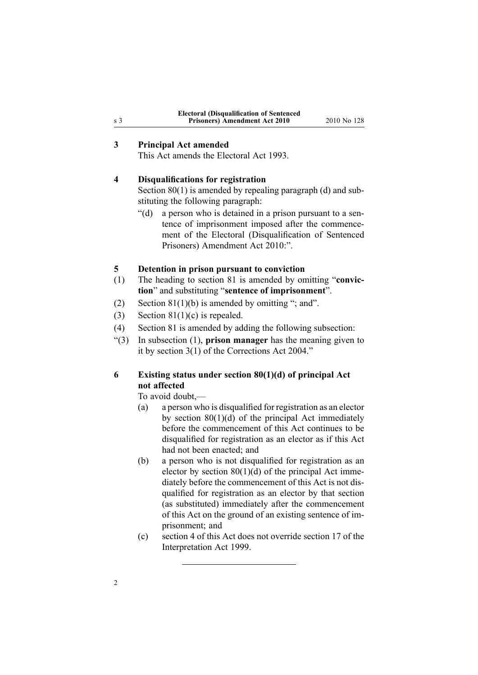| <b>Electoral (Disqualification of Sentenced</b> |  |
|-------------------------------------------------|--|
| <b>Prisoners)</b> Amendment Act 2010            |  |

**Prisoners) Amendment Act 2010** 2010 No 128

## **3 Principal Act amended**

This Act amends the [Electoral](http://www.legislation.govt.nz/pdflink.aspx?id=DLM307518) Act 1993.

#### **4 Disqualifications for registration**

Section 80(1) is amended by repealing paragraph (d) and substituting the following paragraph:

"(d) <sup>a</sup> person who is detained in <sup>a</sup> prison pursuan<sup>t</sup> to <sup>a</sup> sentence of imprisonment imposed after the commencement of the Electoral (Disqualification of Sentenced Prisoners) Amendment Act 2010:".

### **5 Detention in prison pursuant to conviction**

- (1) The heading to [section](http://www.legislation.govt.nz/pdflink.aspx?id=DLM308846) 81 is amended by omitting "**conviction**" and substituting "**sentence of imprisonment**".
- (2) Section  $81(1)(b)$  is amended by omitting "; and".
- (3) Section  $81(1)(c)$  is repealed.
- (4) [Section](http://www.legislation.govt.nz/pdflink.aspx?id=DLM308846) 81 is amended by adding the following subsection:
- "(3) In subsection (1), **prison manager** has the meaning given to it by section 3(1) of the Corrections Act 2004."

## **6 Existing status under section 80(1)(d) of principal Act not affected**

To avoid doubt,—

- (a) <sup>a</sup> person who is disqualified for registration as an elector by section  $80(1)(d)$  of the principal Act immediately before the commencement of this Act continues to be disqualified for registration as an elector as if this Act had not been enacted; and
- (b) <sup>a</sup> person who is not disqualified for registration as an elector by section  $80(1)(d)$  of the principal Act immediately before the commencement of this Act is not disqualified for registration as an elector by that section (as substituted) immediately after the commencement of this Act on the ground of an existing sentence of imprisonment; and
- (c) section 4 of this Act does not override [section](http://www.legislation.govt.nz/pdflink.aspx?id=DLM31486) 17 of the Interpretation Act 1999.

#### <span id="page-1-0"></span><sup>s</sup> 3